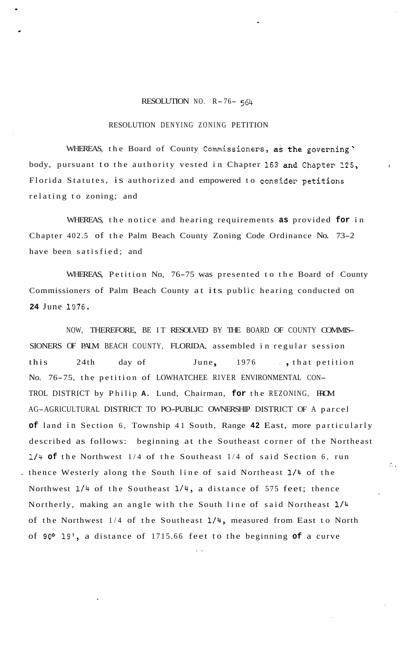## RESOLUTION NO. R-76- <sup>564</sup>

## RESOLUTION DENYING ZONING PETITION

.

\*

WHEREAS, the Board of County Commissioners, as the governing body, pursuant to the authority vested in Chapter **163** and Chapter 125, **<sup>r</sup>** Florida Statutes, is authorized and empowered to consider petitions relating to zoning; and

WHEREAS, the notice and hearing requirements **as** provided **for** in Chapter 402.5 of the Palm Beach County Zoning Code Ordinance No. 73-2 have been satisfied; and

WHEREAS, Petition No, 76-75 was presented to the Board of County Commissioners of Palm Beach County at its public hearing conducted on **24** June 1976.

NOW, THEREFORE, BE IT RESOLVED BY THE BOARD OF COUNTY COMMIS-SIONERS OF PALM BEACH COUNTY, FLORIDA, assembled in regular session this 24th day of June, 1976 ., that petition No. 76-75, the petition of LOWHATCHEE RIVER ENVIRONMENTAL CON-TROL DISTRICT by Philip **A.** Lund, Chairman, **for** the REZONING, FROM AG-AGRICULTURAL DISTRICT TO PO-PUBLIC OWNERSHIP DISTRICT OF A parcel **of** land in Section 6, Township 41 South, Range **42** East, more particularly described as follows: beginning at the Southeast corner of the Northeast **114 of** the Northwest 1/4 of the Southeast 1/4 of said Section 6, run . thence Westerly along the South line of said Northeast **1/4** of the Northwest **1/4** of the Southeast 1/4, a distance of 575 feet; thence Northerly, making an angle with the South line of said Northeast **1/4**  of the Northwest 1/4 of the Southeast **1/4,** measured from East to North of 90° 19', a distance of 1715.66 feet to the beginning **of** a curve

 $\mathcal{L}_{\text{max}}$ 

..